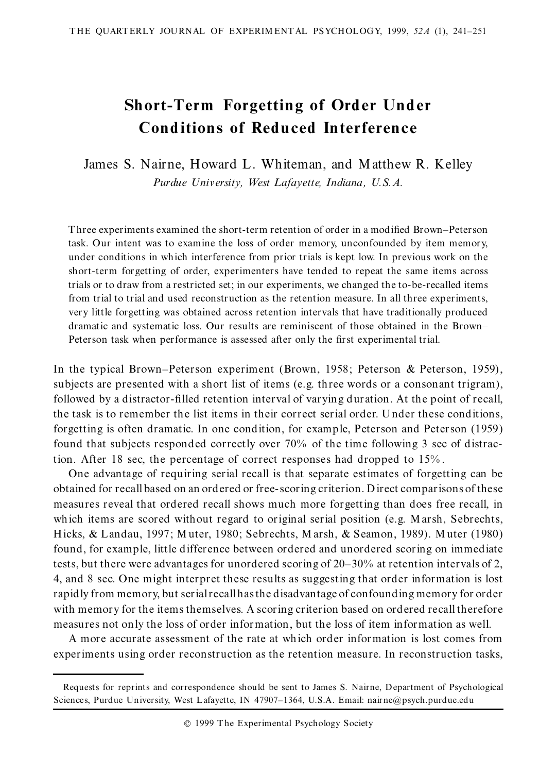# **Short-Term Forgetting of Order Und er Cond itions of Redu ced Interference**

James S. Nairne, Howard L. Whiteman, and M atthew R. Kelley *Purdue University, West Lafayette, Indiana, U.S.A.*

Three experiments examined the short-term retention of order in a modified Brown-Peterson task. Our intent was to examine the loss of order memory, unconfounded by item memory, under conditions in which interference from prior trials is kept low. In previous work on the short-term forgetting of order, experimenters have tended to repeat the same items across trials or to draw from a restricted set; in our experiments, we changed the to-be-recalled items from trial to trial and used reconstruction as the retention measure. In all three experiments, very little forgetting was obtained across retention intervals that have traditionally produced dramatic and systematic loss. Our results are reminiscent of those obtained in the Brown-Peterson task when performance is assessed after only the first experimental trial.

In the typical Brown-Peterson experiment (Brown, 1958; Peterson & Peterson, 1959), subjects are presented with a short list of items (e.g. three words or a consonant trigram), followed by a distractor-filled retention interval of varying duration. At the point of recall, the task is to remember the list items in their correct serial order. U nder these conditions, forgetting is often dramatic. In one condition, for example, Peterson and Peterson (1959) found that subjects responded correctly over 70% of the time following 3 sec of distraction. After 18 sec, the percentage of correct responses had dropped to 15% .

One advantage of requiring serial recall is that separate estimates of forgetting can be obtained for recall based on an ordered or free-scoring criterion. Direct comparisons of these measures reveal that ordered recall shows much more forgetting than does free recall, in which items are scored without regard to original serial position (e.g. M arsh, Sebrechts, Hicks, & Landau, 1997; M uter, 1980; Sebrechts, M arsh, & Seamon, 1989). M uter (1980) found, for example, little difference between ordered and unordered scoring on immediate tests, but there were advantages for unordered scoring of  $20-30%$  at retention intervals of 2, 4, and 8 sec. One might interpret these results as suggesting that order information is lost rapidly from memory, but serialrecall hasthe disadvantage of confounding memory for order with memory for the items themselves. A scoring criterion based on ordered recall therefore measures not only the loss of order information, but the loss of item information as well.

A more accurate assessment of the rate at which order information is lost comes from experiments using order reconstruction as the retention measure. In reconstruction tasks,

Requests for reprints and correspondence should be sent to James S. Nairne, Department of Psychological Sciences, Purdue University, West Lafayette, IN 47907-1364, U.S.A. Email: nair ne@psych.purdue.edu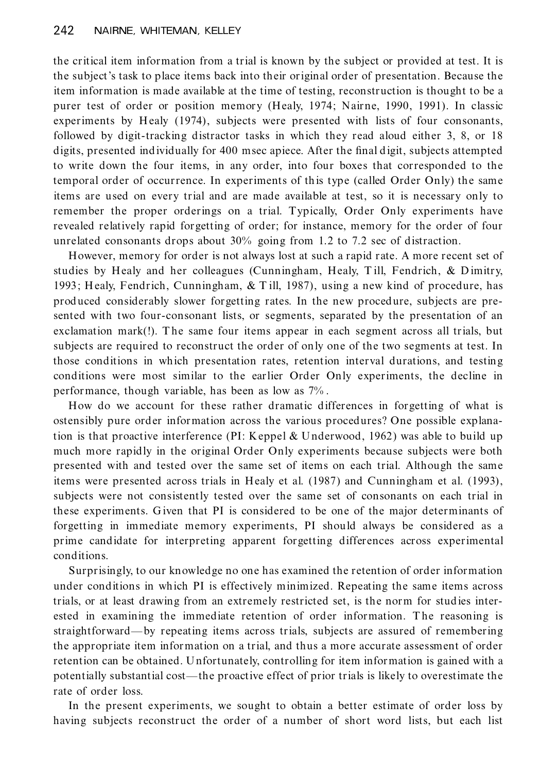the critical item information from a trial is known by the subject or provided at test. It is the subject's task to place items back into their original order of presentation. Because the item information is made available at the time of testing, reconstruction is thought to be a purer test of order or position memory (Healy, 1974; Nairne, 1990, 1991). In classic experiments by Healy (1974), subjects were presented with lists of four consonants, followed by digit-tracking distractor tasks in which they read aloud either 3, 8, or 18 digits, presented individually for 400 msec apiece. After the final digit, subjects attempted to write down the four items, in any order, into four boxes that corresponded to the temporal order of occurrence. In experiments of this type (called Order Only) the same items are used on every trial and are made available at test, so it is necessary only to remember the proper orderings on a trial. Typically, Order Only experiments have revealed relatively rapid forgetting of order; for instance, memory for the order of four unrelated consonants drops about 30% going from 1.2 to 7.2 sec of distraction.

However, memory for order is not always lost at such a rapid rate. A more recent set of studies by Healy and her colleagues (Cunningham, Healy, T ill, Fendrich, & D imitry, 1993; H ealy, Fendrich, Cunningham, & T ill, 1987), using a new kind of procedure, has prod uced considerably slower forgetting rates. In the new procedure, subjects are presented with two four-consonant lists, or segments, separated by the presentation of an exclamation mark(!). The same four items appear in each segment across all trials, but subjects are required to reconstruct the order of only one of the two segments at test. In those conditions in which presentation rates, retention interval durations, and testing conditions were most similar to the earlier Order Only experiments, the decline in performance, though variable, has been as low as 7% .

How do we account for these rather dramatic differences in forgetting of what is ostensibly pure order information across the various procedures? One possible explanation is that proactive interference (PI: Keppel & U nderwood, 1962) was able to build up much more rapidly in the original Order Only experiments because subjects were both presented with and tested over the same set of items on each trial. Although the same items were presented across trials in Healy et al. (1987) and Cunningham et al. (1993), subjects were not consistently tested over the same set of consonants on each trial in these experiments. Given that PI is considered to be one of the major determinants of forgetting in immediate memory experiments, PI should always be considered as a prime candidate for interpreting apparent forgetting differences across experimental conditions.

Surprisingly, to our kn owledge no one has examined the retention of order information under conditions in which PI is effectively minimized. Repeating the same items across trials, or at least drawing from an extremely restricted set, is the norm for studies inter ested in examining the immediate retention of order information. The reasoning is straightforward—by repeating items across trials, subjects are assured of remembering the appropriate item information on a trial, and thus a more accurate assessment of order retention can be obtained. U nfortunately, controlling for item information is gained with a potentially substantial cost—the proactive effect of prior trials is likely to overestimate the rate of order loss.

In the present experiments, we sought to obtain a better estimate of order loss by having subjects reconstruct the order of a number of short word lists, but each list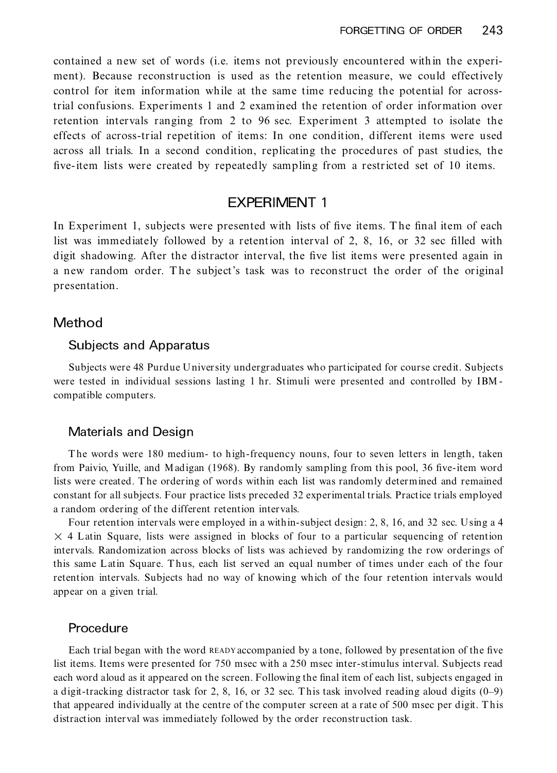contained a new set of words (i.e. items not previously encountered within the experi ment). Because reconstruction is used as the retention measure, we could effectively control for item information while at the same time reducing the potential for acrosstrial confusions. Experiments 1 and 2 examined the retention of order information over retention intervals ranging from 2 to 96 sec. Experiment 3 attempted to isolate the effects of across-trial repetition of items: In one condition, different items were used across all trials. In a second condition, replicating the procedures of past studies, the five-item lists were created by repeatedly sampling from a restricted set of 10 items.

# EXPERIMENT 1

In Experiment 1, subjects were presented with lists of five items. The final item of each list was immediately followed by a retention interval of 2, 8, 16, or 32 sec filled with digit shadowing. After the distractor interval, the five list items were presented again in a new random order. T he subject's task was to reconstruct the order of the original presentation.

### Method

#### Subjects and Apparatus

Subjects were 48 Purdue U niversity undergraduates who participated for course credit. Subjects were tested in individual sessions lasting 1 hr. Stimuli were presented and controlled by IBM compatible computers.

#### Materials and Design

T he words were 180 medium- to high-frequency nouns, four to seven letters in length, taken from Paivio, Yuille, and Madigan (1968). By randomly sampling from this pool, 36 five-item word lists were created. T he ordering of words within each list was randomly determined and remained constant for all subjects. Four practice lists preceded 32 experimental trials. Practice trials employed a random ordering of the different retention intervals.

Four retention intervals were employed in a within-subject design: 2, 8, 16, and 32 sec. Using a 4  $\times$  4 Latin Square, lists were assigned in blocks of four to a particular sequencing of retention intervals. Randomization across blocks of lists was achieved by randomizing the row orderings of this same L atin Square. T hus, each list served an equal number of times under each of the four retention intervals. Subjects had no way of knowing which of the four retention intervals would appear on a given trial.

#### **Procedure**

Each trial began with the word READY accompanied by a tone, followed by presentation of the five list items. Items were presented for 750 msec with a 250 msec inter-stimulus interval. Subjects read each word aloud as it appeared on the screen. Following the final item of each list, subjects engaged in a digit-tracking distractor task for 2, 8, 16, or 32 sec. This task involved reading aloud digits  $(0-9)$ that appeared individually at the centre of the computer screen at a rate of 500 msec per digit. T his distraction interval was immediately followed by the order reconstruction task.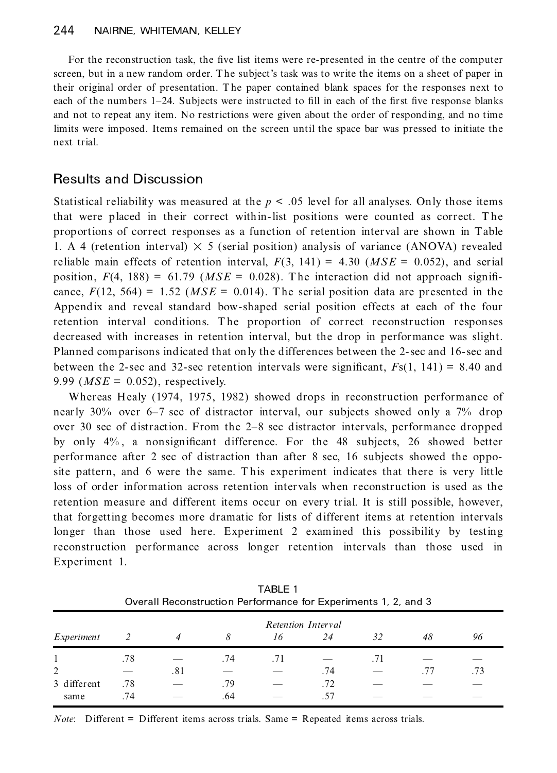For the reconstruction task, the five list items were re-presented in the centre of the computer screen, but in a new random order. T he subject's task was to write the items on a sheet of paper in their original order of presentation. T he paper contained blank spaces for the responses next to each of the numbers 1-24. Subjects were instructed to fill in each of the first five response blanks and not to repeat any item. No restrictions were given about the order of responding, and no time limits were imposed. Items remained on the screen until the space bar was pressed to initiate the next trial.

## Results and Discussion

Statistical reliability was measured at the  $p < .05$  level for all analyses. Only those items that were placed in their correct within-list positions were counted as correct. T he prop ortions of correct responses as a function of retention interval are shown in Table 1. A 4 (retention interval)  $\times$  5 (serial position) analysis of variance (ANOVA) revealed reliable main effects of retention interval,  $F(3, 141) = 4.30$  ( $MSE = 0.052$ ), and serial position,  $F(4, 188) = 61.79$  ( $MSE = 0.028$ ). The interaction did not approach significance,  $F(12, 564) = 1.52$  (*MSE* = 0.014). The serial position data are presented in the Appendix and reveal standard bow-shaped serial position effects at each of the four retention interval conditions. The proportion of correct reconstruction responses decreased with increases in retention interval, but the drop in performance was slight. Planned comparisons indicated that on ly the differences between the 2-sec and 16-sec and between the 2-sec and 32-sec retention intervals were significant,  $F_s(1, 141) = 8.40$  and 9.99 (*MSE* = 0.052), respectively.

Whereas Healy (1974, 1975, 1982) showed drops in reconstruction performance of nearly 30% over 6-7 sec of distractor interval, our subjects showed only a 7% drop over 30 sec of distraction. From the 2–8 sec distractor intervals, performance dropped by only  $4\%$ , a nonsignificant difference. For the 48 subjects, 26 showed better performance after 2 sec of distraction than after 8 sec, 16 subjects showed the opposite pattern, and 6 were the same. This experiment indicates that there is very little loss of order information across retention intervals when reconstruction is used as the retention measure and different items occur on every trial. It is still possible, however, that forgetting becomes more dramatic for lists of different items at retention intervals longer than those used here. Experiment 2 examined this possibility by testing reconstruction performance across longer retention intervals than those used in Experiment 1.

|             | Overall Reconstruction Performance for Experiments 1, 2, and 3 |     |     |     |     |     |     |     |  |  |  |  |
|-------------|----------------------------------------------------------------|-----|-----|-----|-----|-----|-----|-----|--|--|--|--|
|             | Retention Interval                                             |     |     |     |     |     |     |     |  |  |  |  |
| Experiment  |                                                                |     | 8   | 16  | 24  | 32  | 48  | 96  |  |  |  |  |
|             | .78                                                            |     | .74 | .71 |     | .71 |     |     |  |  |  |  |
| 2           |                                                                | .81 |     |     | .74 |     | .77 | .73 |  |  |  |  |
| 3 different | .78                                                            |     | .79 |     | .72 |     |     |     |  |  |  |  |
| same        | .74                                                            |     | .64 |     | .57 |     |     |     |  |  |  |  |

TABLE 1 Overall Reconstruction Performance for Experiments 1, 2, and 3

*Note*: Different = Different items across trials. Same = Repeated items across trials.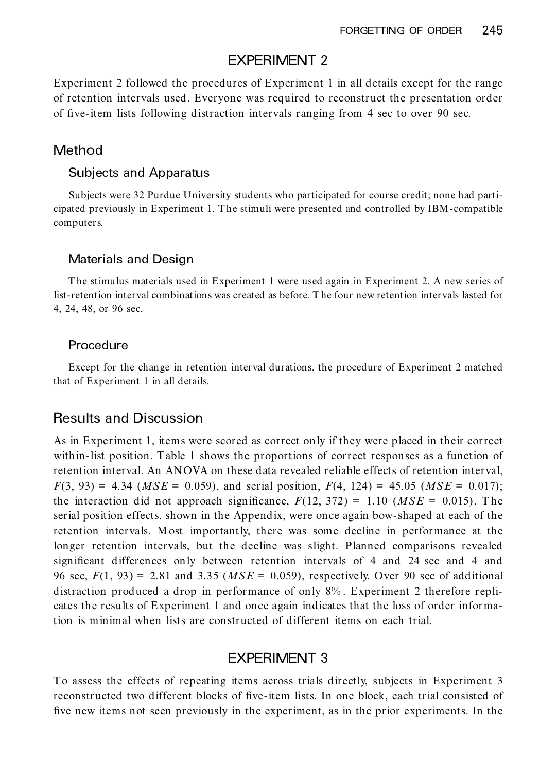## EXPERIMENT 2

Experiment 2 followed the procedures of Experiment 1 in all details except for the range of retention intervals used. Everyone was required to reconstruct the presentation order of five-item lists following distraction intervals ranging from 4 sec to over 90 sec.

## Method

#### Subjects and Apparatus

Subjects were 32 Purdue University students who participated for course credit; none had participated previously in Experiment 1. T he stimuli were presented and controlled by IBM-compatible computers.

#### Materials and Design

T he stimulus materials used in Experiment 1 were used again in Experiment 2. A new series of list-retention interval combinations was created as before. T he four new retention intervals lasted for 4, 24, 48, or 96 sec.

#### **Procedure**

Except for the change in retention interval durations, the procedure of Experiment 2 matched that of Experiment 1 in all details.

## Results and Discussion

As in Experiment 1, items were scored as correct only if they were placed in their correct within-list position. Table 1 shows the proportions of correct respon ses as a function of retention interval. An AN OVA on these data revealed reliable effects of retention interval,  $F(3, 93) = 4.34$  (*MSE* = 0.059), and serial position,  $F(4, 124) = 45.05$  (*MSE* = 0.017); the interaction did not approach significance,  $F(12, 372) = 1.10$  ( $MSE = 0.015$ ). The serial position effects, shown in the Appendix, were once again bow-shaped at each of the retention intervals. M ost importantly, there was some decline in performance at the longer retention intervals, but the decline was slight. Planned comparisons revealed significant differences only between retention intervals of 4 and 24 sec and 4 and 96 sec, *F*(1, 93) = 2.81 and 3.35 (*MSE* = 0.059), respectively. Over 90 sec of additional distraction produced a drop in performance of only 8% . Experiment 2 therefore repli cates the results of Experiment 1 and once again indicates that the loss of order information is minimal when lists are constructed of different items on each trial.

# EXPERIMENT 3

To assess the effects of repeating items across trials directly, subjects in Experiment 3 reconstructed two different blocks of five-item lists. In one block, each trial consisted of five new items not seen previously in the experiment, as in the prior experiments. In the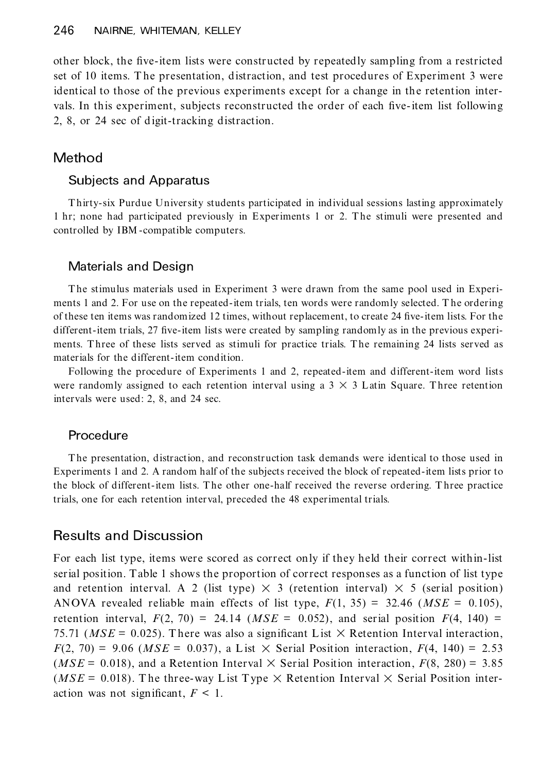other block, the five-item lists were constructed by repeatedly sampling from a restricted set of 10 items. T he presentation, distraction, and test procedures of Experiment 3 were identical to those of the previous experiments except for a change in the retention inter vals. In this experiment, subjects reconstructed the order of each five-item list following 2, 8, or 24 sec of digit-tracking distraction.

# Method

#### Subjects and Apparatus

T hirty-six Purdue University students participated in individual sessions lasting approximately 1 hr; none had participated previously in Experiments 1 or 2. T he stimuli were presented and controlled by IBM -compatible computers.

#### Materials and Design

T he stimulus materials used in Experiment 3 were drawn from the same pool used in Experi ments 1 and 2. For use on the repeated-item trials, ten words were randomly selected. T he ordering of these ten items was randomized 12 times, without replacement, to create 24 five-item lists. For the different-item trials, 27 five-item lists were created by sampling randomly as in the previous experiments. Three of these lists served as stimuli for practice trials. The remaining 24 lists served as materials for the different-item condition.

Following the procedure of Experiments 1 and 2, repeated-item and different-item word lists were randomly assigned to each retention interval using a  $3 \times 3$  L atin Square. Three retention intervals were used: 2, 8, and 24 sec.

#### **Procedure**

T he presentation, distraction, and reconstruction task demands were identical to those used in Experiments 1 and 2. A random half of the subjects received the block of repeated-item lists prior to the block of different-item lists. T he other one-half received the reverse ordering. T hree practice trials, one for each retention interval, preceded the 48 experimental trials.

## Results and Discussion

For each list type, items were scored as correct only if they held their correct within-list serial position. Table 1 shows the proportion of correct responses as a function of list type and retention interval. A 2 (list type)  $\times$  3 (retention interval)  $\times$  5 (serial position) ANOVA revealed reliable main effects of list type,  $F(1, 35) = 32.46$  ( $MSE = 0.105$ ), retention interval,  $F(2, 70) = 24.14$  (*MSE* = 0.052), and serial position  $F(4, 140) =$ 75.71 ( $MSE = 0.025$ ). There was also a significant List  $\times$  Retention Interval interaction,  $F(2, 70) = 9.06$  (*MSE* = 0.037), a List  $\times$  Serial Position interaction,  $F(4, 140) = 2.53$ ( $MSE = 0.018$ ), and a Retention Interval  $\times$  Serial Position interaction,  $F(8, 280) = 3.85$ ( $MSE = 0.018$ ). The three-way List Type  $\times$  Retention Interval  $\times$  Serial Position interaction was not significant,  $F < 1$ .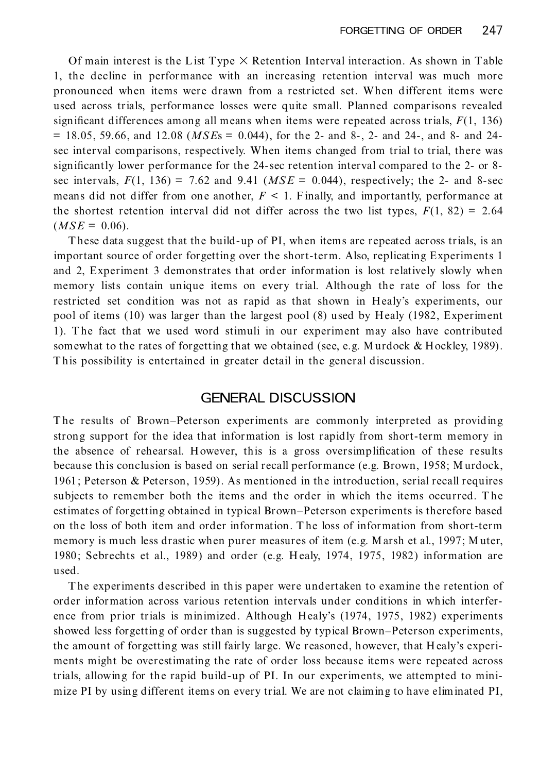Of main interest is the List Type  $\times$  Retention Interval interaction. As shown in Table 1, the decline in performance with an increasing retention interval was much more pronounced when items were drawn from arestricted set. When different items were used across trials, performance losses were quite small. Planned comparisons revealed significant differences among all means when items were repeated across trials,  $F(1, 136)$  $= 18.05, 59.66,$  and  $12.08$  ( $MSE$ s  $= 0.044$ ), for the 2- and 8-, 2- and 24-, and 8- and 24sec interval comparisons, respectively. When items changed from trial to trial, there was significantly lower performance for the 24-sec retention interval compared to the 2- or 8sec intervals,  $F(1, 136) = 7.62$  and 9.41 ( $MSE = 0.044$ ), respectively; the 2- and 8-sec means did not differ from one another,  $F < 1$ . Finally, and importantly, performance at the shortest retention interval did not differ across the two list types,  $F(1, 82) = 2.64$  $(MSE = 0.06)$ .

T hese data suggest that the build-up of PI, when items are repeated across trials, is an important source of order forgetting over the short-term. Also, replicating Experiments 1 and 2, Experiment 3 demonstrates that order information is lost relatively slowly when memory lists contain unique items on every trial. Although the rate of loss for the restricted set condition was not as rapid as that shown in Healy's experiments, our pool of items (10) was larger than the largest pool (8) used by Healy (1982, Experiment 1). T he fact that we used word stimuli in our experiment may also have contributed somewhat to the rates of forgetting that we obtained (see, e.g. Murdock & Hockley, 1989). This possibility is entertained in greater detail in the general discussion.

## GENERAL DISCUSSION

The results of Brown–Peterson experiments are commonly interpreted as providing strong support for the idea that information is lost rapidly from short-term memory in the absence of rehearsal. However, this is a gross oversimplification of these results because this conclusion is based on serial recall performance (e.g. Brown, 1958; M urdock, 1961; Peterson & Peterson, 1959). As mentioned in the introduction, serial recall requires subjects to remember both the items and the order in which the items occurred. T he estimates of forgetting obtained in typical Brown–Peterson experiments is therefore based on the loss of both item and order information. T he loss of information from short-term memory is much less drastic when purer measures of item (e.g. M arsh et al., 1997; M uter, 1980; Sebrechts et al., 1989) and order (e.g. H ealy, 1974, 1975, 1982) information are used.

T he experiments described in this paper were undertaken to examine the retention of order information across various retention intervals under conditions in which interfer ence from prior trials is minimized. Although Healy's (1974, 1975, 1982) experiments showed less forgetting of order than is suggested by typical Brown–Peterson experiments, the amount of forgetting was still fairly large. We reasoned, however, that Healy's experiments might be overestimating the rate of order loss because items were repeated across trials, allowing for the rapid build-up of PI. In our experiments, we attempted to mini mize PI by using different items on every trial. We are not claiming to have eliminated PI,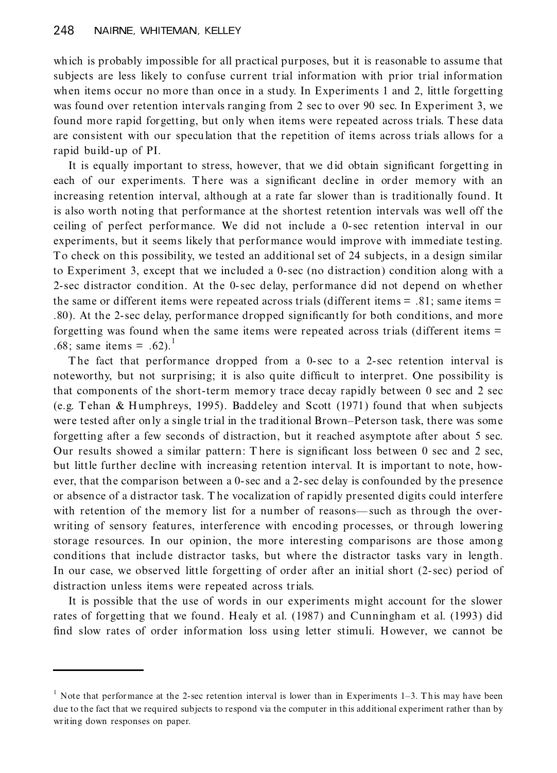which is probably impossible for all practical purposes, but it is reasonable to assume that subjects are less likely to confuse current trial information with prior trial information when items occur no more than once in a study. In Experiments 1 and 2, little forgetting was found over retention intervals ranging from 2 sec to over 90 sec. In Experiment 3, we found more rapid forgetting, but only when items were repeated across trials. These data are consistent with our speculation that the repetition of items across trials allows for a rapid build-up of PI.

It is equally important to stress, however, that we did obtain significant forgetting in each of our experiments. There was a significant decline in order memory with an increasing retention interval, although at a rate far slower than is traditionally found. It is also worth noting that performance at the shortest retention intervals was well off the ceiling of perfect performance. We did not include a 0-sec retention interval in our experiments, but it seems likely that performance would improve with immediate testing. To check on this possibility, we tested an additional set of 24 subjects, in a design similar to Experiment 3, except that we included a 0-sec (no distraction) condition along with a 2-sec distractor condition. At the 0-sec delay, performance did not depend on wh ether the same or different items were repeated across trials (different items = .81; same items = .80). At the 2-sec delay, performance dropped significantly for both conditions, and more forgetting was found when the same items were repeated across trials (different items = .68; same items = .62).

The fact that performance dropped from a 0-sec to a 2-sec retention interval is noteworthy, but not surprising; it is also quite difficult to interpret. One possibility is that components of the short-term memory trace decay rapidly between 0 sec and 2 sec (e.g. Tehan & Humphreys, 1995). Baddeley and Scott (1971) found that when subjects were tested after on ly a single trial in the traditional Brown–Peterson task, there was some forgetting after a few seconds of distraction, but it reached asymptote after about 5 sec. Our results showed a similar pattern: There is significant loss between 0 sec and 2 sec, but little further decline with increasing retention interval. It is important to note, how ever, that the comparison between a 0-sec and a 2-sec delay is confounded by the presence or absence of a distractor task. T he vocalization of r apidly presented digits could interfere with retention of the memory list for a number of reasons—such as through the overwriting of sensory features, interference with encoding processes, or through lowering storage resources. In our opinion, the more interesting comparisons are those among conditions that include distractor tasks, but where the distractor tasks vary in length. In our case, we observed little forgetting of order after an initial short (2-sec) period of distraction unless items were repeated across trials.

It is possible that the use of words in our experiments might account for the slower rates of forgetting that we found. Healy et al. (1987) and Cunningham et al. (1993) did find slow rates of order information loss using letter stimuli. However, we cannot be

 $1$  Note that performance at the 2-sec retention interval is lower than in Experiments 1-3. This may have been due to the fact that we required subjects to respond via the computer in this additional experiment rather than by writing down responses on paper.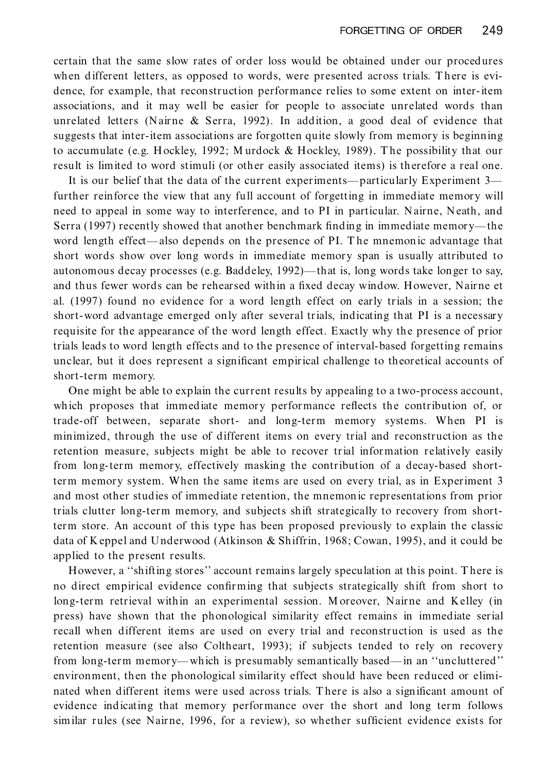certain that the same slow rates of order loss would be obtained under our procedures when different letters, as opposed to words, were presented across trials. There is evidence, for example, that reconstruction performance relies to some extent on inter-item associations, and it may well be easier for people to associate unrelated words than unrelated letters (Nairne  $\&$  Serra, 1992). In addition, a good deal of evidence that suggests that inter-item associations are forgotten quite slowly from memory is beginning to accumulate (e.g. H ockley, 1992; M urdock & Hockley, 1989). T he possibility that our result is limited to word stimuli (or other easily associated items) is therefore a real one.

It is our belief that the data of the current experiments—particularly Experiment 3 further reinforce the view that any full account of forgetting in immediate memory will need to appeal in some way to interference, and to PI in particular. Nairne, Neath, and Serra (1997) recently showed that another benchmark finding in immediate memory—the word length effect—also depends on the presence of PI. The mnemonic advantage that short words show over long words in immediate memory span is usually attributed to autonomous decay processes (e.g. Baddeley, 1992)—that is, long words take longer to say, and thus fewer words can be rehearsed within a fixed decay window. However, Nairne et al. (1997) found no evidence for a word length effect on early trials in a session; the short-word advantage emerged only after several trials, indicating that PI is a necessary requisite for the appearance of the word length effect. Exactly why the presence of prior trials leads to word length effects and to the presence of interval-based forgetting remains unclear, but it does represent a significant empirical challenge to theoretical accounts of short-term memory.

One might be able to explain the current results by appealing to a two-process account, which proposes that immediate memory performance reflects the contribution of, or trade-off between, separate short- and long-term memory systems. When PI is minimized, through the use of different items on every trial and reconstruction as the retention measure, subjects might be able to recover trial information relatively easily from long-term memory, effectively masking the contribution of a decay-based shortterm memory system. When the same items are used on every trial, as in Experiment 3 and most other studies of immediate retention, the mnemon ic representations from prior trials clutter long-term memory, and subjects shift strategically to recovery from shortterm store. An account of this type has been proposed previously to explain the classic data of Keppel and Underwood (Atkinson & Shiffrin, 1968; Cowan, 1995), and it could be applied to the present results.

However, a "shifting stores" account remains largely speculation at this point. There is no direct empirical evidence confirming that subjects strategically shift from short to long-term retrieval within an experimental session. Moreover, Nairne and Kelley (in press) have shown that the phonological similarity effect remains in immediate serial recall when different items are used on every trial and reconstruction is used as the retention measure (see also Coltheart, 1993); if subjects tended to rely on recovery from long-term memory—which is presumably semantically based—in an "uncluttered" environment, then the phonological similarity effect should have been reduced or elimi nated when different items were used across trials. There is also a significant amount of evidence indicating that memory performance over the short and long term follows similar rules (see Nairne, 1996, for a review), so whether sufficient evidence exists for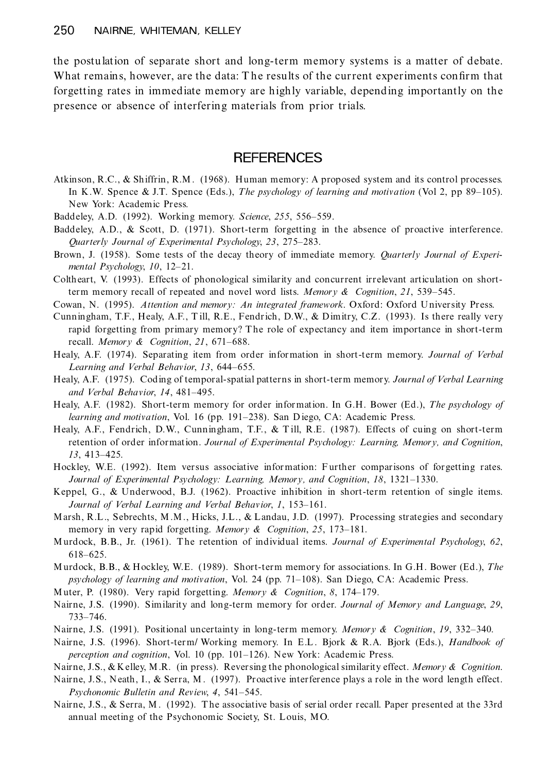the postulation of separate short and long-term memory systems is a matter of debate. What remains, however, are the data: The results of the current experiments confirm that forgetting rates in immediate memory are highly variable, depending importantly on the presence or absence of interfering materials from prior trials.

## **REFERENCES**

- Atkinson, R.C., & Shiffrin, R.M . (1968). Human memory: A proposed system and its control processes. In K.W. Spence & J.T. Spence (Eds.), *The psychology of learning and motivation* (Vol 2, pp 89–105). New York: Academic Press.
- Baddeley, A.D. (1992). Working memory. *Science*, 255, 556–559.
- Baddeley, A.D., & Scott, D. (1971). Short-term forgetting in the absence of proactive interference. *Quarterly Journal of Experimental Psychology, 23, 275-283.*
- Brown, J. (1958). Some tests of the decay theory of immediate memory. *Quarterly Journal of Experi mental Psychology*, 10, 12-21.
- Coltheart, V. (1993). Effects of phonological similarity and concurrent irrelevant articulation on shortterm memory recall of repeated and novel word lists. *Memory & Cognition*, *21*, 539±545.
- Cowan, N. (1995). *Attention and memory: An integrated framework*. Oxford: Oxford University Press.
- Cunningham, T.F., Healy, A.F., T ill, R.E., Fendrich, D.W., & Dimitry, C.Z. (1993). Is there really very rapid forgetting from primary memory? The role of expectancy and item importance in short-term recall. *Memory* & *Cognition*, 21, 671-688.
- Healy, A.F. (1974). Separating item from order information in short-term memory. *Journal of Verbal Learning and Verbal Behavior*, 13, 644-655.
- Healy, A.F. (1975). Coding of temporal-spatial patterns in short-term memory. *Journal of Verbal Learning and Verbal Behavior*, 14, 481-495.
- Healy, A.F. (1982). Short-term memory for order information. In G.H. Bower (Ed.), *The psychology of learning and motivation*, Vol. 16 (pp. 191–238). San D iego, CA: Academic Press.
- Healy, A.F., Fendrich, D.W., Cunningham, T.F., & T ill, R.E. (1987). Effects of cuing on short-term retention of order information. *Journal of Experimental Psychology: Learning, Memory, and Cognition*, *13*, 413-425.
- Hockley, W.E. (1992). Item versus associative information: Further comparisons of forgetting rates. *Journal of Experimental Psychology: Learning, Memory, and Cognition, 18, 1321-1330.*
- Keppel, G., & Underwood, B.J. (1962). Proactive inhibition in short-term retention of single items. *Journal of Verbal Learning and Verbal Behavior, 1, 153-161.*
- Marsh, R.L., Sebrechts, M .M., Hicks, J.L., & Landau, J.D. (1997). Processing strategies and secondary memory in very rapid forgetting. *Memory* & *Cognition*, 25, 173–181.
- Murdock, B.B., Jr. (1961). T he retention of individual items. *Journal of Experimental Psychology*, *62*, 618±625.
- Murdock, B.B., & H ockley, W.E. (1989). Short-term memory for associations. In G.H . Bower (Ed.), *The psychology of learning and motivation*, Vol. 24 (pp. 71–108). San Diego, CA: Academic Press.
- Muter, P. (1980). Very rapid forgetting. *Memory & Cognition*, *8*, 174±179.
- Nairne, J.S. (1990). Similarity and long-term memory for order. *Journal of Memory and Language*, *29*, 733±746.
- Nairne, J.S. (1991). Positional uncertainty in long-term memory. *Memory & Cognition*, *19*, 332±340.
- Nairne, J.S. (1996). Short-term/ Working memory. In E.L . Bjork & R.A. Bjork (Eds.), *Handbook of perception and cognition*, Vol. 10 (pp. 101–126). New York: Academic Press.

Nairne, J.S., & Kelley, M.R. (in press). Reversing the phonological similarity effect. *Memory & Cognition*.

- Nairne, J.S., Neath, I., & Serra, M. (1997). Proactive interference plays a role in the word length effect. *Psychonomic Bulletin and Review, 4, 541-545.*
- Nairne, J.S., & Serra, M. (1992). The associative basis of serial order recall. Paper presented at the 33rd annual meeting of the Psychonomic Society, St. Louis, MO.